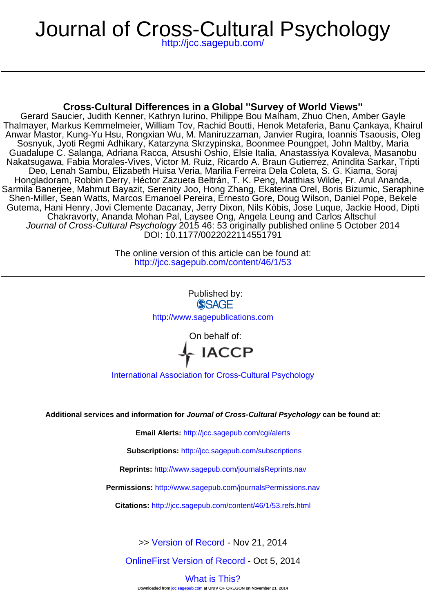# <http://jcc.sagepub.com/> Journal of Cross-Cultural Psychology

# **Cross-Cultural Differences in a Global ''Survey of World Views''**

DOI: 10.1177/0022022114551791 Journal of Cross-Cultural Psychology 2015 46: 53 originally published online 5 October 2014 Chakravorty, Ananda Mohan Pal, Laysee Ong, Angela Leung and Carlos Altschul Gutema, Hani Henry, Jovi Clemente Dacanay, Jerry Dixon, Nils Köbis, Jose Luque, Jackie Hood, Dipti Shen-Miller, Sean Watts, Marcos Emanoel Pereira, Ernesto Gore, Doug Wilson, Daniel Pope, Bekele Sarmila Banerjee, Mahmut Bayazit, Serenity Joo, Hong Zhang, Ekaterina Orel, Boris Bizumic, Seraphine Hongladoram, Robbin Derry, Héctor Zazueta Beltrán, T. K. Peng, Matthias Wilde, Fr. Arul Ananda, Deo, Lenah Sambu, Elizabeth Huisa Veria, Marilia Ferreira Dela Coleta, S. G. Kiama, Soraj Nakatsugawa, Fabia Morales-Vives, Victor M. Ruiz, Ricardo A. Braun Gutierrez, Anindita Sarkar, Tripti Guadalupe C. Salanga, Adriana Racca, Atsushi Oshio, Elsie Italia, Anastassiya Kovaleva, Masanobu Sosnyuk, Jyoti Regmi Adhikary, Katarzyna Skrzypinska, Boonmee Poungpet, John Maltby, Maria Anwar Mastor, Kung-Yu Hsu, Rongxian Wu, M. Maniruzzaman, Janvier Rugira, Ioannis Tsaousis, Oleg Thalmayer, Markus Kemmelmeier, William Tov, Rachid Boutti, Henok Metaferia, Banu Çankaya, Khairul Gerard Saucier, Judith Kenner, Kathryn Iurino, Philippe Bou Malham, Zhuo Chen, Amber Gayle

> <http://jcc.sagepub.com/content/46/1/53> The online version of this article can be found at:

# Published by: **SSAGE** <http://www.sagepublications.com>

On behalf of:  $\sim$  IACCP

[International Association for Cross-Cultural Psychology](http://www.iaccp.org/)

**Additional services and information for Journal of Cross-Cultural Psychology can be found at:**

**Email Alerts:** <http://jcc.sagepub.com/cgi/alerts>

**Subscriptions:** <http://jcc.sagepub.com/subscriptions>

**Reprints:** <http://www.sagepub.com/journalsReprints.nav>

**Permissions:** <http://www.sagepub.com/journalsPermissions.nav>

**Citations:** <http://jcc.sagepub.com/content/46/1/53.refs.html>

>> [Version of Record -](http://jcc.sagepub.com/content/46/1/53.full.pdf) Nov 21, 2014

[OnlineFirst Version of Record -](http://jcc.sagepub.com/content/early/2014/10/01/0022022114551791.full.pdf) Oct 5, 2014

[What is This?](http://online.sagepub.com/site/sphelp/vorhelp.xhtml) Downloaded fro[m jcc.sagepub.com](http://jcc.sagepub.com/) at UNIV OF OREGON on November 21, 2014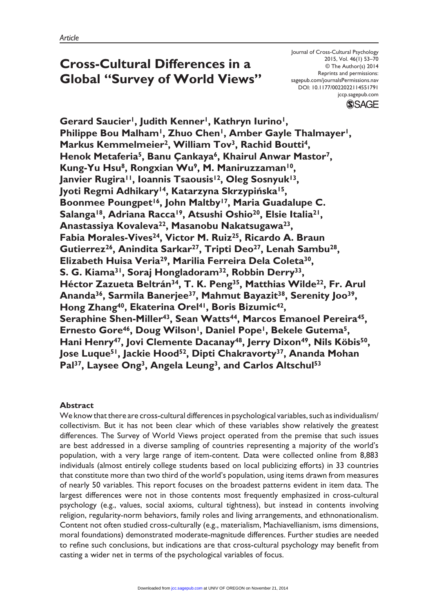# **Cross-Cultural Differences in a Global "Survey of World Views"**

Journal of Cross-Cultural Psychology 2015, Vol. 46(1) 53–70 © The Author(s) 2014 Reprints and permissions: sagepub.com/journalsPermissions.nav DOI: 10.1177/0022022114551791 jccp.sagepub.com **SSAGE** 

Gerard Saucier<sup>1</sup>, Judith Kenner<sup>1</sup>, Kathryn Iurino<sup>1</sup>, Philippe Bou Malham<sup>1</sup>, Zhuo Chen<sup>1</sup>, Amber Gayle Thalmayer<sup>1</sup>, Markus Kemmelmeier<sup>2</sup>, William Tov<sup>3</sup>, Rachid Boutti<sup>4</sup>, **Henok Metaferia5, Banu Çankaya6, Khairul Anwar Mastor7, Kung-Yu Hsu8, Rongxian Wu9, M. Maniruzzaman10, Janvier Rugira11, Ioannis Tsaousis12, Oleg Sosnyuk13, Jyoti Regmi Adhikary14, Katarzyna Skrzypińska15,**  Boonmee Poungpet<sup>16</sup>, John Maltby<sup>17</sup>, Maria Guadalupe C. **Salanga18, Adriana Racca19, Atsushi Oshio20, Elsie Italia21, Anastassiya Kovaleva22, Masanobu Nakatsugawa23, Fabia Morales-Vives24, Victor M. Ruiz25, Ricardo A. Braun Gutierrez26, Anindita Sarkar27, Tripti Deo27, Lenah Sambu28, Elizabeth Huisa Veria29, Marilia Ferreira Dela Coleta30, S. G. Kiama31, Soraj Hongladoram32, Robbin Derry33, Héctor Zazueta Beltrán34, T. K. Peng35, Matthias Wilde22, Fr. Arul Ananda36, Sarmila Banerjee37, Mahmut Bayazit38, Serenity Joo39, Hong Zhang40, Ekaterina Orel41, Boris Bizumic42,**  Seraphine Shen-Miller<sup>43</sup>, Sean Watts<sup>44</sup>, Marcos Emanoel Pereira<sup>45</sup>, Ernesto Gore<sup>46</sup>, Doug Wilson<sup>1</sup>, Daniel Pope<sup>1</sup>, Bekele Gutema<sup>5</sup>, Hani Henry<sup>47</sup>, Jovi Clemente Dacanay<sup>48</sup>, Jerry Dixon<sup>49</sup>, Nils Köbis<sup>50</sup>, **Jose Luque51, Jackie Hood52, Dipti Chakravorty37, Ananda Mohan Pal37, Laysee Ong3, Angela Leung3, and Carlos Altschul53**

## **Abstract**

We know that there are cross-cultural differences in psychological variables, such as individualism/ collectivism. But it has not been clear which of these variables show relatively the greatest differences. The Survey of World Views project operated from the premise that such issues are best addressed in a diverse sampling of countries representing a majority of the world's population, with a very large range of item-content. Data were collected online from 8,883 individuals (almost entirely college students based on local publicizing efforts) in 33 countries that constitute more than two third of the world's population, using items drawn from measures of nearly 50 variables. This report focuses on the broadest patterns evident in item data. The largest differences were not in those contents most frequently emphasized in cross-cultural psychology (e.g., values, social axioms, cultural tightness), but instead in contents involving religion, regularity-norm behaviors, family roles and living arrangements, and ethnonationalism. Content not often studied cross-culturally (e.g., materialism, Machiavellianism, isms dimensions, moral foundations) demonstrated moderate-magnitude differences. Further studies are needed to refine such conclusions, but indications are that cross-cultural psychology may benefit from casting a wider net in terms of the psychological variables of focus.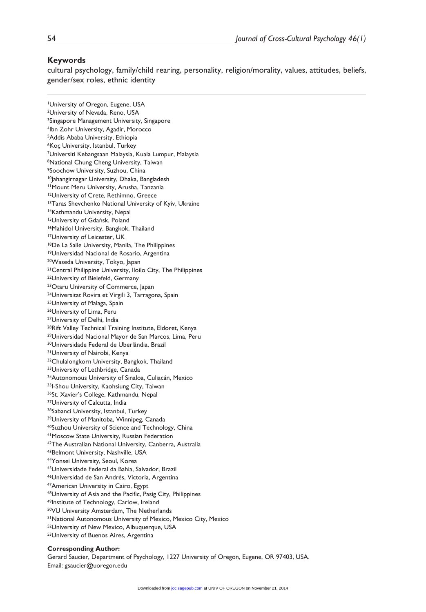### **Keywords**

cultural psychology, family/child rearing, personality, religion/morality, values, attitudes, beliefs, gender/sex roles, ethnic identity

1University of Oregon, Eugene, USA 2University of Nevada, Reno, USA <sup>3</sup>Singapore Management University, Singapore 4Ibn Zohr University, Agadir, Morocco 5Addis Ababa University, Ethiopia 6Koç University, Istanbul, Turkey 7Universiti Kebangsaan Malaysia, Kuala Lumpur, Malaysia 8National Chung Cheng University, Taiwan 9Soochow University, Suzhou, China 10Jahangirnagar University, Dhaka, Bangladesh 11Mount Meru University, Arusha, Tanzania 12University of Crete, Rethimno, Greece <sup>13</sup>Taras Shevchenko National University of Kyiv, Ukraine 14Kathmandu University, Nepal 15University of Gdańsk, Poland 16Mahidol University, Bangkok, Thailand 17University of Leicester, UK 18De La Salle University, Manila, The Philippines 19Universidad Nacional de Rosario, Argentina 20Waseda University, Tokyo, Japan 21Central Philippine University, Iloilo City, The Philippines 22University of Bielefeld, Germany 23Otaru University of Commerce, Japan 24Universitat Rovira et Virgili 3, Tarragona, Spain 25University of Malaga, Spain 26University of Lima, Peru 27University of Delhi, India 28Rift Valley Technical Training Institute, Eldoret, Kenya 29Universidad Nacional Mayor de San Marcos, Lima, Peru 30Universidade Federal de Uberlândia, Brazil 31University of Nairobi, Kenya 32Chulalongkorn University, Bangkok, Thailand 33University of Lethbridge, Canada 34Autonomous University of Sinaloa, Culiacán, Mexico 35I-Shou University, Kaohsiung City, Taiwan 36St. Xavier's College, Kathmandu, Nepal 37University of Calcutta, India 38Sabanci University, Istanbul, Turkey 39University of Manitoba, Winnipeg, Canada 40Suzhou University of Science and Technology, China 41Moscow State University, Russian Federation 42The Australian National University, Canberra, Australia 43Belmont University, Nashville, USA 44Yonsei University, Seoul, Korea 45Universidade Federal da Bahia, Salvador, Brazil 46Universidad de San Andrés, Victoria, Argentina 47American University in Cairo, Egypt 48University of Asia and the Pacific, Pasig City, Philippines 49Institute of Technology, Carlow, Ireland 50VU University Amsterdam, The Netherlands 51National Autonomous University of Mexico, Mexico City, Mexico 52University of New Mexico, Albuquerque, USA 53 University of Buenos Aires, Argentina

#### **Corresponding Author:**

Gerard Saucier, Department of Psychology, 1227 University of Oregon, Eugene, OR 97403, USA. Email: gsaucier@uoregon.edu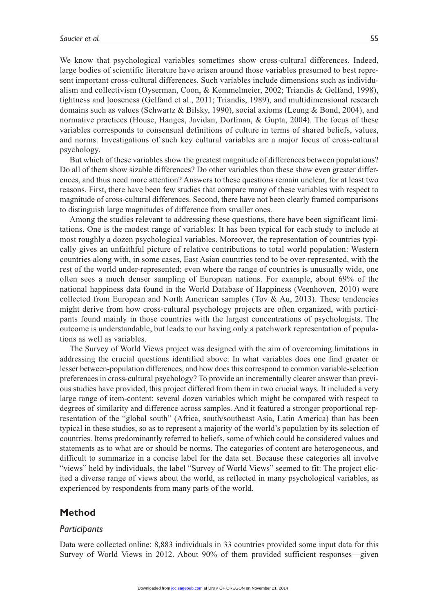We know that psychological variables sometimes show cross-cultural differences. Indeed, large bodies of scientific literature have arisen around those variables presumed to best represent important cross-cultural differences. Such variables include dimensions such as individualism and collectivism (Oyserman, Coon, & Kemmelmeier, 2002; Triandis & Gelfand, 1998), tightness and looseness (Gelfand et al., 2011; Triandis, 1989), and multidimensional research domains such as values (Schwartz & Bilsky, 1990), social axioms (Leung & Bond, 2004), and normative practices (House, Hanges, Javidan, Dorfman, & Gupta, 2004). The focus of these variables corresponds to consensual definitions of culture in terms of shared beliefs, values, and norms. Investigations of such key cultural variables are a major focus of cross-cultural psychology.

But which of these variables show the greatest magnitude of differences between populations? Do all of them show sizable differences? Do other variables than these show even greater differences, and thus need more attention? Answers to these questions remain unclear, for at least two reasons. First, there have been few studies that compare many of these variables with respect to magnitude of cross-cultural differences. Second, there have not been clearly framed comparisons to distinguish large magnitudes of difference from smaller ones.

Among the studies relevant to addressing these questions, there have been significant limitations. One is the modest range of variables: It has been typical for each study to include at most roughly a dozen psychological variables. Moreover, the representation of countries typically gives an unfaithful picture of relative contributions to total world population: Western countries along with, in some cases, East Asian countries tend to be over-represented, with the rest of the world under-represented; even where the range of countries is unusually wide, one often sees a much denser sampling of European nations. For example, about 69% of the national happiness data found in the World Database of Happiness (Veenhoven, 2010) were collected from European and North American samples (Tov  $\&$  Au, 2013). These tendencies might derive from how cross-cultural psychology projects are often organized, with participants found mainly in those countries with the largest concentrations of psychologists. The outcome is understandable, but leads to our having only a patchwork representation of populations as well as variables.

The Survey of World Views project was designed with the aim of overcoming limitations in addressing the crucial questions identified above: In what variables does one find greater or lesser between-population differences, and how does this correspond to common variable-selection preferences in cross-cultural psychology? To provide an incrementally clearer answer than previous studies have provided, this project differed from them in two crucial ways. It included a very large range of item-content: several dozen variables which might be compared with respect to degrees of similarity and difference across samples. And it featured a stronger proportional representation of the "global south" (Africa, south/southeast Asia, Latin America) than has been typical in these studies, so as to represent a majority of the world's population by its selection of countries. Items predominantly referred to beliefs, some of which could be considered values and statements as to what are or should be norms. The categories of content are heterogeneous, and difficult to summarize in a concise label for the data set. Because these categories all involve "views" held by individuals, the label "Survey of World Views" seemed to fit: The project elicited a diverse range of views about the world, as reflected in many psychological variables, as experienced by respondents from many parts of the world.

## **Method**

#### *Participants*

Data were collected online: 8,883 individuals in 33 countries provided some input data for this Survey of World Views in 2012. About 90% of them provided sufficient responses—given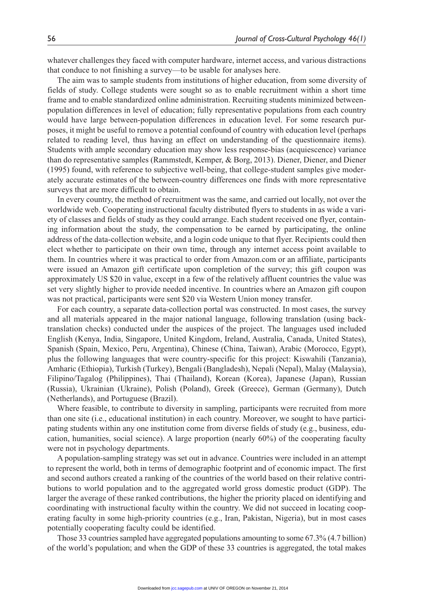whatever challenges they faced with computer hardware, internet access, and various distractions that conduce to not finishing a survey—to be usable for analyses here.

The aim was to sample students from institutions of higher education, from some diversity of fields of study. College students were sought so as to enable recruitment within a short time frame and to enable standardized online administration. Recruiting students minimized betweenpopulation differences in level of education; fully representative populations from each country would have large between-population differences in education level. For some research purposes, it might be useful to remove a potential confound of country with education level (perhaps related to reading level, thus having an effect on understanding of the questionnaire items). Students with ample secondary education may show less response-bias (acquiescence) variance than do representative samples (Rammstedt, Kemper, & Borg, 2013). Diener, Diener, and Diener (1995) found, with reference to subjective well-being, that college-student samples give moderately accurate estimates of the between-country differences one finds with more representative surveys that are more difficult to obtain.

In every country, the method of recruitment was the same, and carried out locally, not over the worldwide web. Cooperating instructional faculty distributed flyers to students in as wide a variety of classes and fields of study as they could arrange. Each student received one flyer, containing information about the study, the compensation to be earned by participating, the online address of the data-collection website, and a login code unique to that flyer. Recipients could then elect whether to participate on their own time, through any internet access point available to them. In countries where it was practical to order from Amazon.com or an affiliate, participants were issued an Amazon gift certificate upon completion of the survey; this gift coupon was approximately US \$20 in value, except in a few of the relatively affluent countries the value was set very slightly higher to provide needed incentive. In countries where an Amazon gift coupon was not practical, participants were sent \$20 via Western Union money transfer.

For each country, a separate data-collection portal was constructed. In most cases, the survey and all materials appeared in the major national language, following translation (using backtranslation checks) conducted under the auspices of the project. The languages used included English (Kenya, India, Singapore, United Kingdom, Ireland, Australia, Canada, United States), Spanish (Spain, Mexico, Peru, Argentina), Chinese (China, Taiwan), Arabic (Morocco, Egypt), plus the following languages that were country-specific for this project: Kiswahili (Tanzania), Amharic (Ethiopia), Turkish (Turkey), Bengali (Bangladesh), Nepali (Nepal), Malay (Malaysia), Filipino/Tagalog (Philippines), Thai (Thailand), Korean (Korea), Japanese (Japan), Russian (Russia), Ukrainian (Ukraine), Polish (Poland), Greek (Greece), German (Germany), Dutch (Netherlands), and Portuguese (Brazil).

Where feasible, to contribute to diversity in sampling, participants were recruited from more than one site (i.e., educational institution) in each country. Moreover, we sought to have participating students within any one institution come from diverse fields of study (e.g., business, education, humanities, social science). A large proportion (nearly 60%) of the cooperating faculty were not in psychology departments.

A population-sampling strategy was set out in advance. Countries were included in an attempt to represent the world, both in terms of demographic footprint and of economic impact. The first and second authors created a ranking of the countries of the world based on their relative contributions to world population and to the aggregated world gross domestic product (GDP). The larger the average of these ranked contributions, the higher the priority placed on identifying and coordinating with instructional faculty within the country. We did not succeed in locating cooperating faculty in some high-priority countries (e.g., Iran, Pakistan, Nigeria), but in most cases potentially cooperating faculty could be identified.

Those 33 countries sampled have aggregated populations amounting to some 67.3% (4.7 billion) of the world's population; and when the GDP of these 33 countries is aggregated, the total makes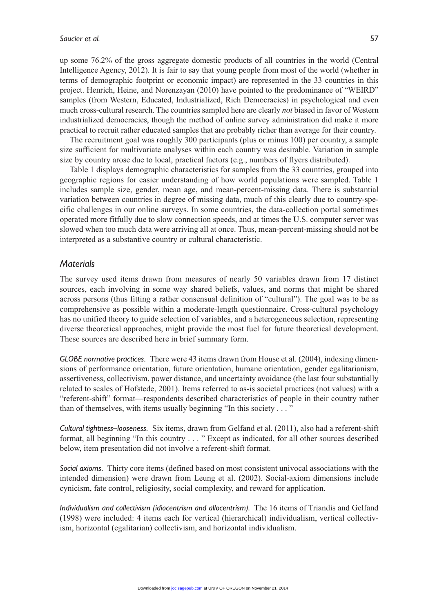up some 76.2% of the gross aggregate domestic products of all countries in the world (Central Intelligence Agency, 2012). It is fair to say that young people from most of the world (whether in terms of demographic footprint or economic impact) are represented in the 33 countries in this project. Henrich, Heine, and Norenzayan (2010) have pointed to the predominance of "WEIRD" samples (from Western, Educated, Industrialized, Rich Democracies) in psychological and even much cross-cultural research. The countries sampled here are clearly *not* biased in favor of Western industrialized democracies, though the method of online survey administration did make it more practical to recruit rather educated samples that are probably richer than average for their country.

The recruitment goal was roughly 300 participants (plus or minus 100) per country, a sample size sufficient for multivariate analyses within each country was desirable. Variation in sample size by country arose due to local, practical factors (e.g., numbers of flyers distributed).

Table 1 displays demographic characteristics for samples from the 33 countries, grouped into geographic regions for easier understanding of how world populations were sampled. Table 1 includes sample size, gender, mean age, and mean-percent-missing data. There is substantial variation between countries in degree of missing data, much of this clearly due to country-specific challenges in our online surveys. In some countries, the data-collection portal sometimes operated more fitfully due to slow connection speeds, and at times the U.S. computer server was slowed when too much data were arriving all at once. Thus, mean-percent-missing should not be interpreted as a substantive country or cultural characteristic.

### *Materials*

The survey used items drawn from measures of nearly 50 variables drawn from 17 distinct sources, each involving in some way shared beliefs, values, and norms that might be shared across persons (thus fitting a rather consensual definition of "cultural"). The goal was to be as comprehensive as possible within a moderate-length questionnaire. Cross-cultural psychology has no unified theory to guide selection of variables, and a heterogeneous selection, representing diverse theoretical approaches, might provide the most fuel for future theoretical development. These sources are described here in brief summary form.

*GLOBE normative practices.* There were 43 items drawn from House et al. (2004), indexing dimensions of performance orientation, future orientation, humane orientation, gender egalitarianism, assertiveness, collectivism, power distance, and uncertainty avoidance (the last four substantially related to scales of Hofstede, 2001). Items referred to as-is societal practices (not values) with a "referent-shift" format—respondents described characteristics of people in their country rather than of themselves, with items usually beginning "In this society . . . "

*Cultural tightness–looseness.* Six items, drawn from Gelfand et al. (2011), also had a referent-shift format, all beginning "In this country . . . " Except as indicated, for all other sources described below, item presentation did not involve a referent-shift format.

*Social axioms.* Thirty core items (defined based on most consistent univocal associations with the intended dimension) were drawn from Leung et al. (2002). Social-axiom dimensions include cynicism, fate control, religiosity, social complexity, and reward for application.

*Individualism and collectivism (idiocentrism and allocentrism).* The 16 items of Triandis and Gelfand (1998) were included: 4 items each for vertical (hierarchical) individualism, vertical collectivism, horizontal (egalitarian) collectivism, and horizontal individualism.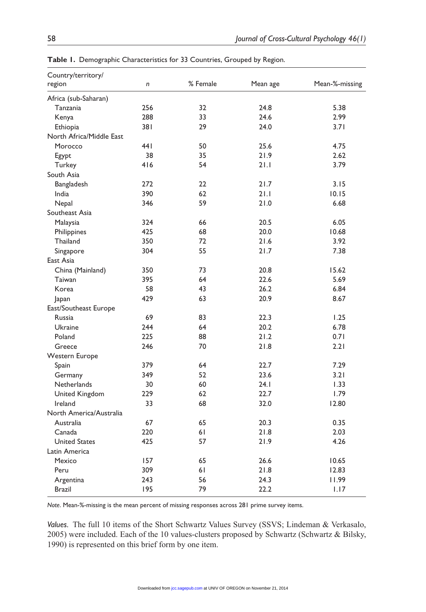| Country/territory/       |              |          |          |                |  |  |  |
|--------------------------|--------------|----------|----------|----------------|--|--|--|
| region                   | $\mathsf{n}$ | % Female | Mean age | Mean-%-missing |  |  |  |
| Africa (sub-Saharan)     |              |          |          |                |  |  |  |
| Tanzania                 | 256          | 32       | 24.8     | 5.38           |  |  |  |
| Kenya                    | 288          | 33       | 24.6     | 2.99           |  |  |  |
| Ethiopia                 | 381          | 29       | 24.0     | 3.71           |  |  |  |
| North Africa/Middle East |              |          |          |                |  |  |  |
| Morocco                  | 441          | 50       | 25.6     | 4.75           |  |  |  |
| Egypt                    | 38           | 35       | 21.9     | 2.62           |  |  |  |
| Turkey                   | 416          | 54       | 21.1     | 3.79           |  |  |  |
| South Asia               |              |          |          |                |  |  |  |
| Bangladesh               | 272          | 22       | 21.7     | 3.15           |  |  |  |
| India                    | 390          | 62       | 21.1     | 10.15          |  |  |  |
| Nepal                    | 346          | 59       | 21.0     | 6.68           |  |  |  |
| Southeast Asia           |              |          |          |                |  |  |  |
| Malaysia                 | 324          | 66       | 20.5     | 6.05           |  |  |  |
| Philippines              | 425          | 68       | 20.0     | 10.68          |  |  |  |
| Thailand                 | 350          | 72       | 21.6     | 3.92           |  |  |  |
| Singapore                | 304          | 55       | 21.7     | 7.38           |  |  |  |
| East Asia                |              |          |          |                |  |  |  |
| China (Mainland)         | 350          | 73       | 20.8     | 15.62          |  |  |  |
| Taiwan                   | 395          | 64       | 22.6     | 5.69           |  |  |  |
| Korea                    | 58           | 43       | 26.2     | 6.84           |  |  |  |
| Japan                    | 429          | 63       | 20.9     | 8.67           |  |  |  |
| East/Southeast Europe    |              |          |          |                |  |  |  |
| Russia                   | 69           | 83       | 22.3     | 1.25           |  |  |  |
| Ukraine                  | 244          | 64       | 20.2     | 6.78           |  |  |  |
| Poland                   | 225          | 88       | 21.2     | 0.71           |  |  |  |
| Greece                   | 246          | 70       | 21.8     | 2.21           |  |  |  |
| Western Europe           |              |          |          |                |  |  |  |
| Spain                    | 379          | 64       | 22.7     | 7.29           |  |  |  |
| Germany                  | 349          | 52       | 23.6     | 3.21           |  |  |  |
| Netherlands              | 30           | 60       | 24.1     | 1.33           |  |  |  |
| United Kingdom           | 229          | 62       | 22.7     | 1.79           |  |  |  |
| Ireland                  | 33           | 68       | 32.0     | 12.80          |  |  |  |
| North America/Australia  |              |          |          |                |  |  |  |
| Australia                | 67           | 65       | 20.3     | 0.35           |  |  |  |
| Canada                   | 220          | 61       | 21.8     | 2.03           |  |  |  |
| <b>United States</b>     | 425          | 57       | 21.9     | 4.26           |  |  |  |
| Latin America            |              |          |          |                |  |  |  |
| Mexico                   | 157          | 65       | 26.6     | 10.65          |  |  |  |
| Peru                     | 309          | 61       | 21.8     | 12.83          |  |  |  |
| Argentina                | 243          | 56       | 24.3     | 11.99          |  |  |  |
| <b>Brazil</b>            | 195          | 79       | 22.2     | 1.17           |  |  |  |

**Table 1.** Demographic Characteristics for 33 Countries, Grouped by Region.

*Note*. Mean-%-missing is the mean percent of missing responses across 281 prime survey items.

*Values.* The full 10 items of the Short Schwartz Values Survey (SSVS; Lindeman & Verkasalo, 2005) were included. Each of the 10 values-clusters proposed by Schwartz (Schwartz & Bilsky, 1990) is represented on this brief form by one item.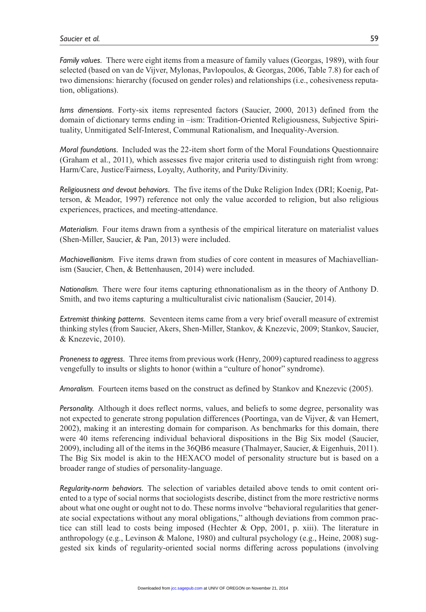*Family values.* There were eight items from a measure of family values (Georgas, 1989), with four selected (based on van de Vijver, Mylonas, Pavlopoulos, & Georgas, 2006, Table 7.8) for each of two dimensions: hierarchy (focused on gender roles) and relationships (i.e., cohesiveness reputation, obligations).

*Isms dimensions.* Forty-six items represented factors (Saucier, 2000, 2013) defined from the domain of dictionary terms ending in –ism: Tradition-Oriented Religiousness, Subjective Spirituality, Unmitigated Self-Interest, Communal Rationalism, and Inequality-Aversion.

*Moral foundations.* Included was the 22-item short form of the Moral Foundations Questionnaire (Graham et al., 2011), which assesses five major criteria used to distinguish right from wrong: Harm/Care, Justice/Fairness, Loyalty, Authority, and Purity/Divinity.

*Religiousness and devout behaviors.* The five items of the Duke Religion Index (DRI; Koenig, Patterson, & Meador, 1997) reference not only the value accorded to religion, but also religious experiences, practices, and meeting-attendance.

*Materialism.* Four items drawn from a synthesis of the empirical literature on materialist values (Shen-Miller, Saucier, & Pan, 2013) were included.

*Machiavellianism.* Five items drawn from studies of core content in measures of Machiavellianism (Saucier, Chen, & Bettenhausen, 2014) were included.

*Nationalism.* There were four items capturing ethnonationalism as in the theory of Anthony D. Smith, and two items capturing a multiculturalist civic nationalism (Saucier, 2014).

*Extremist thinking patterns.* Seventeen items came from a very brief overall measure of extremist thinking styles (from Saucier, Akers, Shen-Miller, Stankov, & Knezevic, 2009; Stankov, Saucier, & Knezevic, 2010).

*Proneness to aggress.* Three items from previous work (Henry, 2009) captured readiness to aggress vengefully to insults or slights to honor (within a "culture of honor" syndrome).

*Amoralism.* Fourteen items based on the construct as defined by Stankov and Knezevic (2005).

*Personality.* Although it does reflect norms, values, and beliefs to some degree, personality was not expected to generate strong population differences (Poortinga, van de Vijver, & van Hemert, 2002), making it an interesting domain for comparison. As benchmarks for this domain, there were 40 items referencing individual behavioral dispositions in the Big Six model (Saucier, 2009), including all of the items in the 36QB6 measure (Thalmayer, Saucier, & Eigenhuis, 2011). The Big Six model is akin to the HEXACO model of personality structure but is based on a broader range of studies of personality-language.

*Regularity-norm behaviors.* The selection of variables detailed above tends to omit content oriented to a type of social norms that sociologists describe, distinct from the more restrictive norms about what one ought or ought not to do. These norms involve "behavioral regularities that generate social expectations without any moral obligations," although deviations from common practice can still lead to costs being imposed (Hechter  $\&$  Opp, 2001, p. xiii). The literature in anthropology (e.g., Levinson & Malone, 1980) and cultural psychology (e.g., Heine, 2008) suggested six kinds of regularity-oriented social norms differing across populations (involving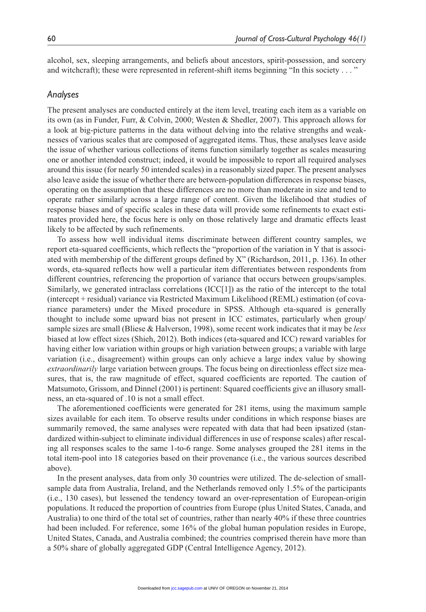alcohol, sex, sleeping arrangements, and beliefs about ancestors, spirit-possession, and sorcery and witchcraft); these were represented in referent-shift items beginning "In this society . . . "

## *Analyses*

The present analyses are conducted entirely at the item level, treating each item as a variable on its own (as in Funder, Furr, & Colvin, 2000; Westen & Shedler, 2007). This approach allows for a look at big-picture patterns in the data without delving into the relative strengths and weaknesses of various scales that are composed of aggregated items. Thus, these analyses leave aside the issue of whether various collections of items function similarly together as scales measuring one or another intended construct; indeed, it would be impossible to report all required analyses around this issue (for nearly 50 intended scales) in a reasonably sized paper. The present analyses also leave aside the issue of whether there are between-population differences in response biases, operating on the assumption that these differences are no more than moderate in size and tend to operate rather similarly across a large range of content. Given the likelihood that studies of response biases and of specific scales in these data will provide some refinements to exact estimates provided here, the focus here is only on those relatively large and dramatic effects least likely to be affected by such refinements.

To assess how well individual items discriminate between different country samples, we report eta-squared coefficients, which reflects the "proportion of the variation in Y that is associated with membership of the different groups defined by X" (Richardson, 2011, p. 136). In other words, eta-squared reflects how well a particular item differentiates between respondents from different countries, referencing the proportion of variance that occurs between groups/samples. Similarly, we generated intraclass correlations  $(ICC[1])$  as the ratio of the intercept to the total (intercept + residual) variance via Restricted Maximum Likelihood (REML) estimation (of covariance parameters) under the Mixed procedure in SPSS. Although eta-squared is generally thought to include some upward bias not present in ICC estimates, particularly when group/ sample sizes are small (Bliese & Halverson, 1998), some recent work indicates that it may be *less* biased at low effect sizes (Shieh, 2012). Both indices (eta-squared and ICC) reward variables for having either low variation within groups or high variation between groups; a variable with large variation (i.e., disagreement) within groups can only achieve a large index value by showing *extraordinarily* large variation between groups. The focus being on directionless effect size measures, that is, the raw magnitude of effect, squared coefficients are reported. The caution of Matsumoto, Grissom, and Dinnel (2001) is pertinent: Squared coefficients give an illusory smallness, an eta-squared of .10 is not a small effect.

The aforementioned coefficients were generated for 281 items, using the maximum sample sizes available for each item. To observe results under conditions in which response biases are summarily removed, the same analyses were repeated with data that had been ipsatized (standardized within-subject to eliminate individual differences in use of response scales) after rescaling all responses scales to the same 1-to-6 range. Some analyses grouped the 281 items in the total item-pool into 18 categories based on their provenance (i.e., the various sources described above).

In the present analyses, data from only 30 countries were utilized. The de-selection of smallsample data from Australia, Ireland, and the Netherlands removed only 1.5% of the participants (i.e., 130 cases), but lessened the tendency toward an over-representation of European-origin populations. It reduced the proportion of countries from Europe (plus United States, Canada, and Australia) to one third of the total set of countries, rather than nearly 40% if these three countries had been included. For reference, some 16% of the global human population resides in Europe, United States, Canada, and Australia combined; the countries comprised therein have more than a 50% share of globally aggregated GDP (Central Intelligence Agency, 2012).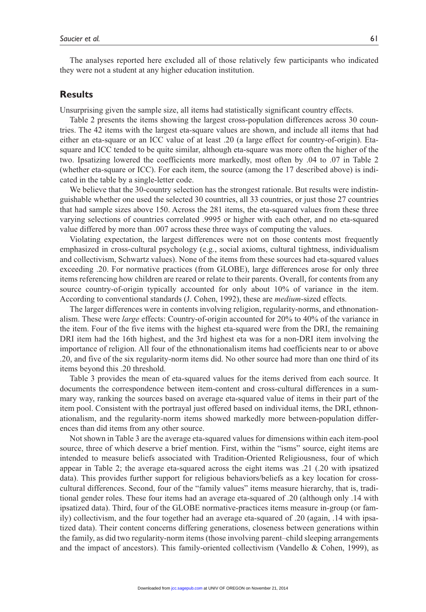The analyses reported here excluded all of those relatively few participants who indicated they were not a student at any higher education institution.

# **Results**

Unsurprising given the sample size, all items had statistically significant country effects.

Table 2 presents the items showing the largest cross-population differences across 30 countries. The 42 items with the largest eta-square values are shown, and include all items that had either an eta-square or an ICC value of at least .20 (a large effect for country-of-origin). Etasquare and ICC tended to be quite similar, although eta-square was more often the higher of the two. Ipsatizing lowered the coefficients more markedly, most often by .04 to .07 in Table 2 (whether eta-square or ICC). For each item, the source (among the 17 described above) is indicated in the table by a single-letter code.

We believe that the 30-country selection has the strongest rationale. But results were indistinguishable whether one used the selected 30 countries, all 33 countries, or just those 27 countries that had sample sizes above 150. Across the 281 items, the eta-squared values from these three varying selections of countries correlated .9995 or higher with each other, and no eta-squared value differed by more than .007 across these three ways of computing the values.

Violating expectation, the largest differences were not on those contents most frequently emphasized in cross-cultural psychology (e.g., social axioms, cultural tightness, individualism and collectivism, Schwartz values). None of the items from these sources had eta-squared values exceeding .20. For normative practices (from GLOBE), large differences arose for only three items referencing how children are reared or relate to their parents. Overall, for contents from any source country-of-origin typically accounted for only about 10% of variance in the item. According to conventional standards (J. Cohen, 1992), these are *medium*-sized effects.

The larger differences were in contents involving religion, regularity-norms, and ethnonationalism. These were *large* effects: Country-of-origin accounted for 20% to 40% of the variance in the item. Four of the five items with the highest eta-squared were from the DRI, the remaining DRI item had the 16th highest, and the 3rd highest eta was for a non-DRI item involving the importance of religion. All four of the ethnonationalism items had coefficients near to or above .20, and five of the six regularity-norm items did. No other source had more than one third of its items beyond this .20 threshold.

Table 3 provides the mean of eta-squared values for the items derived from each source. It documents the correspondence between item-content and cross-cultural differences in a summary way, ranking the sources based on average eta-squared value of items in their part of the item pool. Consistent with the portrayal just offered based on individual items, the DRI, ethnonationalism, and the regularity-norm items showed markedly more between-population differences than did items from any other source.

Not shown in Table 3 are the average eta-squared values for dimensions within each item-pool source, three of which deserve a brief mention. First, within the "isms" source, eight items are intended to measure beliefs associated with Tradition-Oriented Religiousness, four of which appear in Table 2; the average eta-squared across the eight items was .21 (.20 with ipsatized data). This provides further support for religious behaviors/beliefs as a key location for crosscultural differences. Second, four of the "family values" items measure hierarchy, that is, traditional gender roles. These four items had an average eta-squared of .20 (although only .14 with ipsatized data). Third, four of the GLOBE normative-practices items measure in-group (or family) collectivism, and the four together had an average eta-squared of .20 (again, .14 with ipsatized data). Their content concerns differing generations, closeness between generations within the family, as did two regularity-norm items (those involving parent–child sleeping arrangements and the impact of ancestors). This family-oriented collectivism (Vandello & Cohen, 1999), as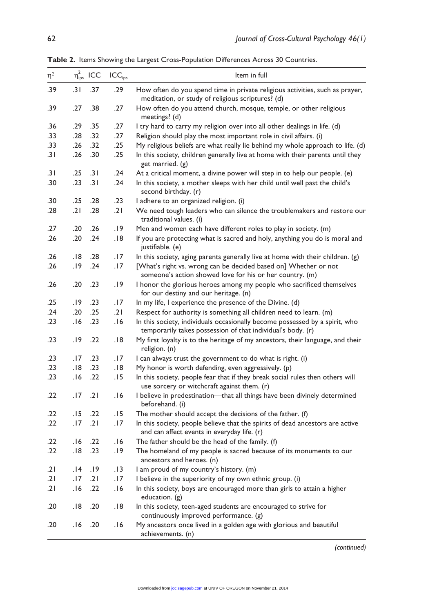| $\eta^2$ | $\eta_{\mathsf{ips}}^2$ | ICC | ICC <sub>ips</sub> | Item in full                                                                                                                               |
|----------|-------------------------|-----|--------------------|--------------------------------------------------------------------------------------------------------------------------------------------|
| .39      | .31                     | .37 | .29                | How often do you spend time in private religious activities, such as prayer,<br>meditation, or study of religious scriptures? (d)          |
| .39      | .27                     | .38 | .27                | How often do you attend church, mosque, temple, or other religious<br>meetings? (d)                                                        |
| .36      | .29                     | .35 | .27                | I try hard to carry my religion over into all other dealings in life. (d)                                                                  |
| .33      | .28                     | .32 | .27                | Religion should play the most important role in civil affairs. (i)                                                                         |
| .33      | .26                     | .32 | .25                | My religious beliefs are what really lie behind my whole approach to life. (d)                                                             |
| .31      | .26                     | .30 | .25                | In this society, children generally live at home with their parents until they<br>get married. (g)                                         |
| ا 3.     | .25                     | .31 | .24                | At a critical moment, a divine power will step in to help our people. (e)                                                                  |
| .30      | .23                     | .31 | .24                | In this society, a mother sleeps with her child until well past the child's<br>second birthday. (r)                                        |
| .30      | .25                     | .28 | .23                | I adhere to an organized religion. (i)                                                                                                     |
| .28      | .21                     | .28 | .21                | We need tough leaders who can silence the troublemakers and restore our<br>traditional values. (i)                                         |
| .27      | .20                     | .26 | .19                | Men and women each have different roles to play in society. (m)                                                                            |
| .26      | .20                     | .24 | .18                | If you are protecting what is sacred and holy, anything you do is moral and<br>justifiable. (e)                                            |
| .26      | .18                     | .28 | .17                | In this society, aging parents generally live at home with their children. (g)                                                             |
| .26      | .19                     | .24 | .17                | [What's right vs. wrong can be decided based on] Whether or not<br>someone's action showed love for his or her country. (m)                |
| .26      | .20                     | .23 | .19                | I honor the glorious heroes among my people who sacrificed themselves<br>for our destiny and our heritage. (n)                             |
| .25      | .19                     | .23 | .17                | In my life, I experience the presence of the Divine. (d)                                                                                   |
| .24      | .20                     | .25 | .21                | Respect for authority is something all children need to learn. (m)                                                                         |
| .23      | 6 .                     | .23 | .16                | In this society, individuals occasionally become possessed by a spirit, who<br>temporarily takes possession of that individual's body. (r) |
| .23      | .19                     | .22 | .18                | My first loyalty is to the heritage of my ancestors, their language, and their<br>religion. (n)                                            |
| .23      | .17                     | .23 | .17                | I can always trust the government to do what is right. (i)                                                                                 |
| .23      | .18                     | .23 | .18                | My honor is worth defending, even aggressively. (p)                                                                                        |
| .23      | 16.                     | .22 | .15                | In this society, people fear that if they break social rules then others will<br>use sorcery or witchcraft against them. (r)               |
| .22      | .17                     | .21 | .16                | I believe in predestination-that all things have been divinely determined<br>beforehand. (i)                                               |
| .22      | .15                     | .22 | .15                | The mother should accept the decisions of the father. (f)                                                                                  |
| .22      | .17                     | .21 | .17                | In this society, people believe that the spirits of dead ancestors are active<br>and can affect events in everyday life. (r)               |
| .22      | 16.                     | .22 | 16.                | The father should be the head of the family. (f)                                                                                           |
| .22      | . 18                    | .23 | .19                | The homeland of my people is sacred because of its monuments to our<br>ancestors and heroes. (n)                                           |
| ا 2.     | .14                     | .19 | .13                | I am proud of my country's history. (m)                                                                                                    |
| ا 2.     | .17                     | .21 | .17                | I believe in the superiority of my own ethnic group. (i)                                                                                   |
| .21      | .16                     | .22 | .16                | In this society, boys are encouraged more than girls to attain a higher<br>education. $(g)$                                                |
| .20      | .18                     | .20 | .18                | In this society, teen-aged students are encouraged to strive for<br>continuously improved performance. (g)                                 |
| .20      | .16                     | .20 | .16                | My ancestors once lived in a golden age with glorious and beautiful<br>achievements. (n)                                                   |

**Table 2.** Items Showing the Largest Cross-Population Differences Across 30 Countries.

*(continued)*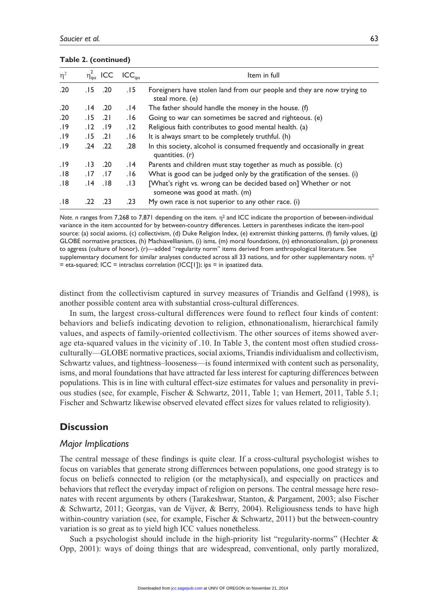| $\eta^2$ |      | $\eta_{\text{ips}}^2$ ICC | ICC <sub>ips</sub> | Item in full                                                                                     |
|----------|------|---------------------------|--------------------|--------------------------------------------------------------------------------------------------|
| .20      | . 15 | .20                       | .15                | Foreigners have stolen land from our people and they are now trying to<br>steal more. (e)        |
| .20      | 14.  | .20                       | .14                | The father should handle the money in the house. (f)                                             |
| .20      | .15  | .21                       | .16                | Going to war can sometimes be sacred and righteous. (e)                                          |
| .19      | .12  | 19.                       | .12                | Religious faith contributes to good mental health. (a)                                           |
| .19      | . 15 | .21                       | .16                | It is always smart to be completely truthful. (h)                                                |
| 19.      | .24  | .22                       | .28                | In this society, alcohol is consumed frequently and occasionally in great<br>quantities. (r)     |
| .19      | .13  | .20                       | .14                | Parents and children must stay together as much as possible. (c)                                 |
| .18      | .17  | .17                       | .16                | What is good can be judged only by the gratification of the senses. (i)                          |
| .18      | .14  | .18                       | .13                | [What's right vs. wrong can be decided based on] Whether or not<br>someone was good at math. (m) |
| .18      | .22  | .23                       | .23                | My own race is not superior to any other race. (i)                                               |

*Note. n* ranges from 7,268 to 7,871 depending on the item. η<sup>2</sup> and ICC indicate the proportion of between-individual variance in the item accounted for by between-country differences. Letters in parentheses indicate the item-pool source: (a) social axioms, (c) collectivism, (d) Duke Religion Index, (e) extremist thinking patterns, (f) family values, (g) GLOBE normative practices, (h) Machiavellianism, (i) isms, (m) moral foundations, (n) ethnonationalism, (p) proneness to aggress (culture of honor), (r)—added "regularity norm" items derived from anthropological literature. See supplementary document for similar analyses conducted across all 33 nations, and for other supplementary notes.  $\eta^2$  $=$  eta-squared; ICC = intraclass correlation (ICC[1]); ips = in ipsatized data.

distinct from the collectivism captured in survey measures of Triandis and Gelfand (1998), is another possible content area with substantial cross-cultural differences.

In sum, the largest cross-cultural differences were found to reflect four kinds of content: behaviors and beliefs indicating devotion to religion, ethnonationalism, hierarchical family values, and aspects of family-oriented collectivism. The other sources of items showed average eta-squared values in the vicinity of .10. In Table 3, the content most often studied crossculturally—GLOBE normative practices, social axioms, Triandis individualism and collectivism, Schwartz values, and tightness–looseness—is found intermixed with content such as personality, isms, and moral foundations that have attracted far less interest for capturing differences between populations. This is in line with cultural effect-size estimates for values and personality in previous studies (see, for example, Fischer & Schwartz, 2011, Table 1; van Hemert, 2011, Table 5.1; Fischer and Schwartz likewise observed elevated effect sizes for values related to religiosity).

# **Discussion**

## *Major Implications*

The central message of these findings is quite clear. If a cross-cultural psychologist wishes to focus on variables that generate strong differences between populations, one good strategy is to focus on beliefs connected to religion (or the metaphysical), and especially on practices and behaviors that reflect the everyday impact of religion on persons. The central message here resonates with recent arguments by others (Tarakeshwar, Stanton, & Pargament, 2003; also Fischer & Schwartz, 2011; Georgas, van de Vijver, & Berry, 2004). Religiousness tends to have high within-country variation (see, for example, Fischer & Schwartz, 2011) but the between-country variation is so great as to yield high ICC values nonetheless.

Such a psychologist should include in the high-priority list "regularity-norms" (Hechter  $\&$ Opp, 2001): ways of doing things that are widespread, conventional, only partly moralized,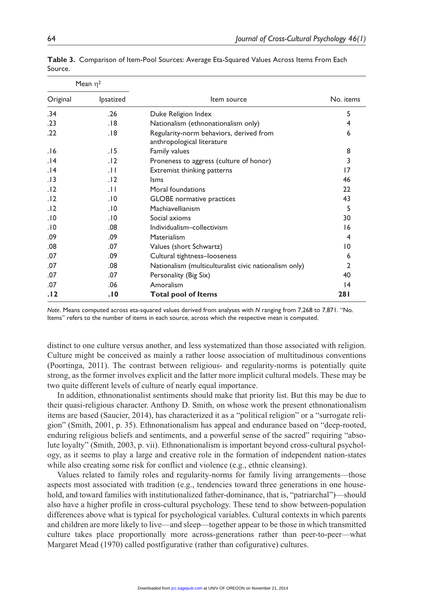| Mean $\eta^2$ |                 |                                                                       |                |
|---------------|-----------------|-----------------------------------------------------------------------|----------------|
| Original      | lpsatized       | Item source                                                           | No. items      |
| .34           | .26             | Duke Religion Index                                                   | 5              |
| .23           | .18             | Nationalism (ethnonationalism only)                                   | 4              |
| .22           | .18             | Regularity-norm behaviors, derived from<br>anthropological literature | 6              |
| .16           | .15             | Family values                                                         | 8              |
| 14.           | .12             | Proneness to aggress (culture of honor)                               | 3              |
| .14           | .H              | Extremist thinking patterns                                           | 17             |
| .13           | $\overline{12}$ | <b>Isms</b>                                                           | 46             |
| .12           | .11             | Moral foundations                                                     | 22             |
| .12           | .10             | <b>GLOBE</b> normative practices                                      | 43             |
| .12           | .10             | Machiavellianism                                                      | 5              |
| .10           | .10             | Social axioms                                                         | 30             |
| .10           | .08             | Individualism-collectivism                                            | 16             |
| .09           | .09             | Materialism                                                           | $\overline{4}$ |
| .08           | .07             | Values (short Schwartz)                                               | 10             |
| .07           | .09             | Cultural tightness-looseness                                          | 6              |
| .07           | .08             | Nationalism (multiculturalist civic nationalism only)                 | $\mathbf{2}$   |
| .07           | .07             | Personality (Big Six)                                                 | 40             |
| .07           | .06             | Amoralism                                                             | 4              |
| .12           | .10             | <b>Total pool of Items</b>                                            | <b>281</b>     |

**Table 3.** Comparison of Item-Pool Sources: Average Eta-Squared Values Across Items From Each Source.

*Note*. Means computed across eta-squared values derived from analyses with *N* ranging from 7,268 to 7,871. "No. Items" refers to the number of items in each source, across which the respective mean is computed.

distinct to one culture versus another, and less systematized than those associated with religion. Culture might be conceived as mainly a rather loose association of multitudinous conventions (Poortinga, 2011). The contrast between religious- and regularity-norms is potentially quite strong, as the former involves explicit and the latter more implicit cultural models. These may be two quite different levels of culture of nearly equal importance.

In addition, ethnonationalist sentiments should make that priority list. But this may be due to their quasi-religious character. Anthony D. Smith, on whose work the present ethnonationalism items are based (Saucier, 2014), has characterized it as a "political religion" or a "surrogate religion" (Smith, 2001, p. 35). Ethnonationalism has appeal and endurance based on "deep-rooted, enduring religious beliefs and sentiments, and a powerful sense of the sacred" requiring "absolute loyalty" (Smith, 2003, p. vii). Ethnonationalism is important beyond cross-cultural psychology, as it seems to play a large and creative role in the formation of independent nation-states while also creating some risk for conflict and violence (e.g., ethnic cleansing).

Values related to family roles and regularity-norms for family living arrangements—those aspects most associated with tradition (e.g., tendencies toward three generations in one household, and toward families with institutionalized father-dominance, that is, "patriarchal")—should also have a higher profile in cross-cultural psychology. These tend to show between-population differences above what is typical for psychological variables. Cultural contexts in which parents and children are more likely to live—and sleep—together appear to be those in which transmitted culture takes place proportionally more across-generations rather than peer-to-peer—what Margaret Mead (1970) called postfigurative (rather than cofigurative) cultures.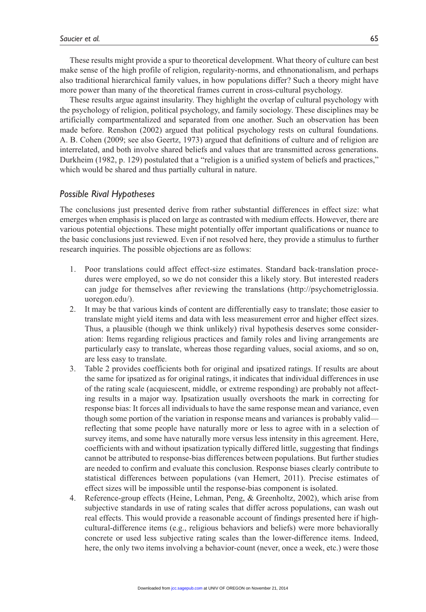These results might provide a spur to theoretical development. What theory of culture can best make sense of the high profile of religion, regularity-norms, and ethnonationalism, and perhaps also traditional hierarchical family values, in how populations differ? Such a theory might have more power than many of the theoretical frames current in cross-cultural psychology.

These results argue against insularity. They highlight the overlap of cultural psychology with the psychology of religion, political psychology, and family sociology. These disciplines may be artificially compartmentalized and separated from one another. Such an observation has been made before. Renshon (2002) argued that political psychology rests on cultural foundations. A. B. Cohen (2009; see also Geertz, 1973) argued that definitions of culture and of religion are interrelated, and both involve shared beliefs and values that are transmitted across generations. Durkheim (1982, p. 129) postulated that a "religion is a unified system of beliefs and practices," which would be shared and thus partially cultural in nature.

## *Possible Rival Hypotheses*

The conclusions just presented derive from rather substantial differences in effect size: what emerges when emphasis is placed on large as contrasted with medium effects. However, there are various potential objections. These might potentially offer important qualifications or nuance to the basic conclusions just reviewed. Even if not resolved here, they provide a stimulus to further research inquiries. The possible objections are as follows:

- 1. Poor translations could affect effect-size estimates. Standard back-translation procedures were employed, so we do not consider this a likely story. But interested readers can judge for themselves after reviewing the translations (http://psychometriglossia. uoregon.edu/).
- 2. It may be that various kinds of content are differentially easy to translate; those easier to translate might yield items and data with less measurement error and higher effect sizes. Thus, a plausible (though we think unlikely) rival hypothesis deserves some consideration: Items regarding religious practices and family roles and living arrangements are particularly easy to translate, whereas those regarding values, social axioms, and so on, are less easy to translate.
- 3. Table 2 provides coefficients both for original and ipsatized ratings. If results are about the same for ipsatized as for original ratings, it indicates that individual differences in use of the rating scale (acquiescent, middle, or extreme responding) are probably not affecting results in a major way. Ipsatization usually overshoots the mark in correcting for response bias: It forces all individuals to have the same response mean and variance, even though some portion of the variation in response means and variances is probably valid reflecting that some people have naturally more or less to agree with in a selection of survey items, and some have naturally more versus less intensity in this agreement. Here, coefficients with and without ipsatization typically differed little, suggesting that findings cannot be attributed to response-bias differences between populations. But further studies are needed to confirm and evaluate this conclusion. Response biases clearly contribute to statistical differences between populations (van Hemert, 2011). Precise estimates of effect sizes will be impossible until the response-bias component is isolated.
- 4. Reference-group effects (Heine, Lehman, Peng, & Greenholtz, 2002), which arise from subjective standards in use of rating scales that differ across populations, can wash out real effects. This would provide a reasonable account of findings presented here if highcultural-difference items (e.g., religious behaviors and beliefs) were more behaviorally concrete or used less subjective rating scales than the lower-difference items. Indeed, here, the only two items involving a behavior-count (never, once a week, etc.) were those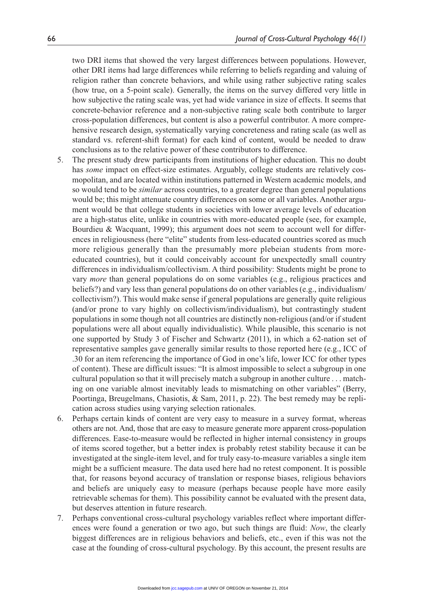two DRI items that showed the very largest differences between populations. However, other DRI items had large differences while referring to beliefs regarding and valuing of religion rather than concrete behaviors, and while using rather subjective rating scales (how true, on a 5-point scale). Generally, the items on the survey differed very little in how subjective the rating scale was, yet had wide variance in size of effects. It seems that concrete-behavior reference and a non-subjective rating scale both contribute to larger cross-population differences, but content is also a powerful contributor. A more comprehensive research design, systematically varying concreteness and rating scale (as well as standard vs. referent-shift format) for each kind of content, would be needed to draw conclusions as to the relative power of these contributors to difference.

- 5. The present study drew participants from institutions of higher education. This no doubt has *some* impact on effect-size estimates. Arguably, college students are relatively cosmopolitan, and are located within institutions patterned in Western academic models, and so would tend to be *similar* across countries, to a greater degree than general populations would be; this might attenuate country differences on some or all variables. Another argument would be that college students in societies with lower average levels of education are a high-status elite, unlike in countries with more-educated people (see, for example, Bourdieu & Wacquant, 1999); this argument does not seem to account well for differences in religiousness (here "elite" students from less-educated countries scored as much more religious generally than the presumably more plebeian students from moreeducated countries), but it could conceivably account for unexpectedly small country differences in individualism/collectivism. A third possibility: Students might be prone to vary *more* than general populations do on some variables (e.g., religious practices and beliefs?) and vary less than general populations do on other variables (e.g., individualism/ collectivism?). This would make sense if general populations are generally quite religious (and/or prone to vary highly on collectivism/individualism), but contrastingly student populations in some though not all countries are distinctly non-religious (and/or if student populations were all about equally individualistic). While plausible, this scenario is not one supported by Study 3 of Fischer and Schwartz (2011), in which a 62-nation set of representative samples gave generally similar results to those reported here (e.g., ICC of .30 for an item referencing the importance of God in one's life, lower ICC for other types of content). These are difficult issues: "It is almost impossible to select a subgroup in one cultural population so that it will precisely match a subgroup in another culture . . . matching on one variable almost inevitably leads to mismatching on other variables" (Berry, Poortinga, Breugelmans, Chasiotis, & Sam, 2011, p. 22). The best remedy may be replication across studies using varying selection rationales.
- 6. Perhaps certain kinds of content are very easy to measure in a survey format, whereas others are not. And, those that are easy to measure generate more apparent cross-population differences. Ease-to-measure would be reflected in higher internal consistency in groups of items scored together, but a better index is probably retest stability because it can be investigated at the single-item level, and for truly easy-to-measure variables a single item might be a sufficient measure. The data used here had no retest component. It is possible that, for reasons beyond accuracy of translation or response biases, religious behaviors and beliefs are uniquely easy to measure (perhaps because people have more easily retrievable schemas for them). This possibility cannot be evaluated with the present data, but deserves attention in future research.
- 7. Perhaps conventional cross-cultural psychology variables reflect where important differences were found a generation or two ago, but such things are fluid: *Now*, the clearly biggest differences are in religious behaviors and beliefs, etc., even if this was not the case at the founding of cross-cultural psychology. By this account, the present results are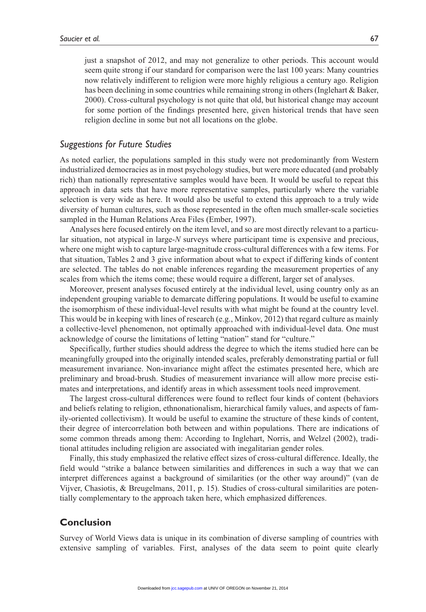just a snapshot of 2012, and may not generalize to other periods. This account would seem quite strong if our standard for comparison were the last 100 years: Many countries now relatively indifferent to religion were more highly religious a century ago. Religion has been declining in some countries while remaining strong in others (Inglehart & Baker, 2000). Cross-cultural psychology is not quite that old, but historical change may account for some portion of the findings presented here, given historical trends that have seen religion decline in some but not all locations on the globe.

# *Suggestions for Future Studies*

As noted earlier, the populations sampled in this study were not predominantly from Western industrialized democracies as in most psychology studies, but were more educated (and probably rich) than nationally representative samples would have been. It would be useful to repeat this approach in data sets that have more representative samples, particularly where the variable selection is very wide as here. It would also be useful to extend this approach to a truly wide diversity of human cultures, such as those represented in the often much smaller-scale societies sampled in the Human Relations Area Files (Ember, 1997).

Analyses here focused entirely on the item level, and so are most directly relevant to a particular situation, not atypical in large-*N* surveys where participant time is expensive and precious, where one might wish to capture large-magnitude cross-cultural differences with a few items. For that situation, Tables 2 and 3 give information about what to expect if differing kinds of content are selected. The tables do not enable inferences regarding the measurement properties of any scales from which the items come; these would require a different, larger set of analyses.

Moreover, present analyses focused entirely at the individual level, using country only as an independent grouping variable to demarcate differing populations. It would be useful to examine the isomorphism of these individual-level results with what might be found at the country level. This would be in keeping with lines of research (e.g., Minkov, 2012) that regard culture as mainly a collective-level phenomenon, not optimally approached with individual-level data. One must acknowledge of course the limitations of letting "nation" stand for "culture."

Specifically, further studies should address the degree to which the items studied here can be meaningfully grouped into the originally intended scales, preferably demonstrating partial or full measurement invariance. Non-invariance might affect the estimates presented here, which are preliminary and broad-brush. Studies of measurement invariance will allow more precise estimates and interpretations, and identify areas in which assessment tools need improvement.

The largest cross-cultural differences were found to reflect four kinds of content (behaviors and beliefs relating to religion, ethnonationalism, hierarchical family values, and aspects of family-oriented collectivism). It would be useful to examine the structure of these kinds of content, their degree of intercorrelation both between and within populations. There are indications of some common threads among them: According to Inglehart, Norris, and Welzel (2002), traditional attitudes including religion are associated with inegalitarian gender roles.

Finally, this study emphasized the relative effect sizes of cross-cultural difference. Ideally, the field would "strike a balance between similarities and differences in such a way that we can interpret differences against a background of similarities (or the other way around)" (van de Vijver, Chasiotis, & Breugelmans, 2011, p. 15). Studies of cross-cultural similarities are potentially complementary to the approach taken here, which emphasized differences.

# **Conclusion**

Survey of World Views data is unique in its combination of diverse sampling of countries with extensive sampling of variables. First, analyses of the data seem to point quite clearly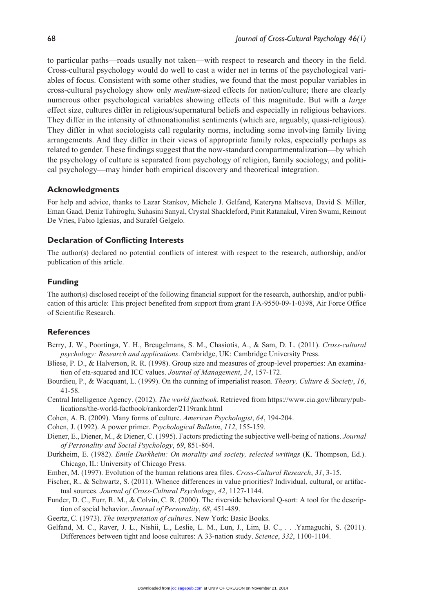to particular paths—roads usually not taken—with respect to research and theory in the field. Cross-cultural psychology would do well to cast a wider net in terms of the psychological variables of focus. Consistent with some other studies, we found that the most popular variables in cross-cultural psychology show only *medium*-sized effects for nation/culture; there are clearly numerous other psychological variables showing effects of this magnitude. But with a *large* effect size, cultures differ in religious/supernatural beliefs and especially in religious behaviors. They differ in the intensity of ethnonationalist sentiments (which are, arguably, quasi-religious). They differ in what sociologists call regularity norms, including some involving family living arrangements. And they differ in their views of appropriate family roles, especially perhaps as related to gender. These findings suggest that the now-standard compartmentalization—by which the psychology of culture is separated from psychology of religion, family sociology, and political psychology—may hinder both empirical discovery and theoretical integration.

#### **Acknowledgments**

For help and advice, thanks to Lazar Stankov, Michele J. Gelfand, Kateryna Maltseva, David S. Miller, Eman Gaad, Deniz Tahiroglu, Suhasini Sanyal, Crystal Shackleford, Pinit Ratanakul, Viren Swami, Reinout De Vries, Fabio Iglesias, and Surafel Gelgelo.

#### **Declaration of Conflicting Interests**

The author(s) declared no potential conflicts of interest with respect to the research, authorship, and/or publication of this article.

### **Funding**

The author(s) disclosed receipt of the following financial support for the research, authorship, and/or publication of this article: This project benefited from support from grant FA-9550-09-1-0398, Air Force Office of Scientific Research.

## **References**

- Berry, J. W., Poortinga, Y. H., Breugelmans, S. M., Chasiotis, A., & Sam, D. L. (2011). *Cross-cultural psychology: Research and applications*. Cambridge, UK: Cambridge University Press.
- Bliese, P. D., & Halverson, R. R. (1998). Group size and measures of group-level properties: An examination of eta-squared and ICC values. *Journal of Management*, *24*, 157-172.
- Bourdieu, P., & Wacquant, L. (1999). On the cunning of imperialist reason. *Theory, Culture & Society*, *16*, 41-58.
- Central Intelligence Agency. (2012). *The world factbook*. Retrieved from https://www.cia.gov/library/publications/the-world-factbook/rankorder/2119rank.html
- Cohen, A. B. (2009). Many forms of culture. *American Psychologist*, *64*, 194-204.

Cohen, J. (1992). A power primer. *Psychological Bulletin*, *112*, 155-159.

- Diener, E., Diener, M., & Diener, C. (1995). Factors predicting the subjective well-being of nations. *Journal of Personality and Social Psychology*, *69*, 851-864.
- Durkheim, E. (1982). *Emile Durkheim: On morality and society, selected writings* (K. Thompson, Ed.). Chicago, IL: University of Chicago Press.

Ember, M. (1997). Evolution of the human relations area files. *Cross-Cultural Research*, *31*, 3-15.

- Fischer, R., & Schwartz, S. (2011). Whence differences in value priorities? Individual, cultural, or artifactual sources. *Journal of Cross-Cultural Psychology*, *42*, 1127-1144.
- Funder, D. C., Furr, R. M., & Colvin, C. R. (2000). The riverside behavioral Q-sort: A tool for the description of social behavior. *Journal of Personality*, *68*, 451-489.
- Geertz, C. (1973). *The interpretation of cultures*. New York: Basic Books.
- Gelfand, M. C., Raver, J. L., Nishii, L., Leslie, L. M., Lun, J., Lim, B. C., . . .Yamaguchi, S. (2011). Differences between tight and loose cultures: A 33-nation study. *Science*, *332*, 1100-1104.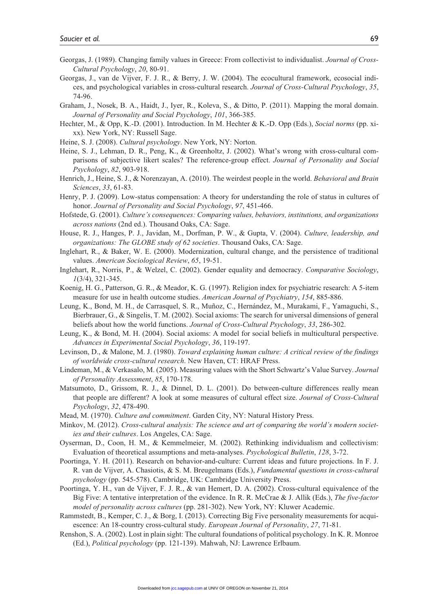- Georgas, J. (1989). Changing family values in Greece: From collectivist to individualist. *Journal of Cross-Cultural Psychology*, *20*, 80-91.
- Georgas, J., van de Vijver, F. J. R., & Berry, J. W. (2004). The ecocultural framework, ecosocial indices, and psychological variables in cross-cultural research. *Journal of Cross-Cultural Psychology*, *35*, 74-96.
- Graham, J., Nosek, B. A., Haidt, J., Iyer, R., Koleva, S., & Ditto, P. (2011). Mapping the moral domain. *Journal of Personality and Social Psychology*, *101*, 366-385.
- Hechter, M., & Opp, K.-D. (2001). Introduction. In M. Hechter & K.-D. Opp (Eds.), *Social norms* (pp. xixx). New York, NY: Russell Sage.
- Heine, S. J. (2008). *Cultural psychology*. New York, NY: Norton.
- Heine, S. J., Lehman, D. R., Peng, K., & Greenholtz, J. (2002). What's wrong with cross-cultural comparisons of subjective likert scales? The reference-group effect. *Journal of Personality and Social Psychology*, *82*, 903-918.
- Henrich, J., Heine, S. J., & Norenzayan, A. (2010). The weirdest people in the world. *Behavioral and Brain Sciences*, *33*, 61-83.
- Henry, P. J. (2009). Low-status compensation: A theory for understanding the role of status in cultures of honor. *Journal of Personality and Social Psychology*, *97*, 451-466.
- Hofstede, G. (2001). *Culture's consequences: Comparing values, behaviors, institutions, and organizations across nations* (2nd ed.). Thousand Oaks, CA: Sage.
- House, R. J., Hanges, P. J., Javidan, M., Dorfman, P. W., & Gupta, V. (2004). *Culture, leadership, and organizations: The GLOBE study of 62 societies*. Thousand Oaks, CA: Sage.
- Inglehart, R., & Baker, W. E. (2000). Modernization, cultural change, and the persistence of traditional values. *American Sociological Review*, *65*, 19-51.
- Inglehart, R., Norris, P., & Welzel, C. (2002). Gender equality and democracy. *Comparative Sociology*, *1*(3/4), 321-345.
- Koenig, H. G., Patterson, G. R., & Meador, K. G. (1997). Religion index for psychiatric research: A 5-item measure for use in health outcome studies. *American Journal of Psychiatry*, *154*, 885-886.
- Leung, K., Bond, M. H., de Carrasquel, S. R., Muñoz, C., Hernández, M., Murakami, F., Yamaguchi, S., Bierbrauer, G., & Singelis, T. M. (2002). Social axioms: The search for universal dimensions of general beliefs about how the world functions. *Journal of Cross-Cultural Psychology*, *33*, 286-302.
- Leung, K., & Bond, M. H. (2004). Social axioms: A model for social beliefs in multicultural perspective. *Advances in Experimental Social Psychology*, *36*, 119-197.
- Levinson, D., & Malone, M. J. (1980). *Toward explaining human culture: A critical review of the findings of worldwide cross-cultural research*. New Haven, CT: HRAF Press.
- Lindeman, M., & Verkasalo, M. (2005). Measuring values with the Short Schwartz's Value Survey. *Journal of Personality Assessment*, *85*, 170-178.
- Matsumoto, D., Grissom, R. J., & Dinnel, D. L. (2001). Do between-culture differences really mean that people are different? A look at some measures of cultural effect size. *Journal of Cross-Cultural Psychology*, *32*, 478-490.
- Mead, M. (1970). *Culture and commitment*. Garden City, NY: Natural History Press.
- Minkov, M. (2012). *Cross-cultural analysis: The science and art of comparing the world's modern societies and their cultures*. Los Angeles, CA: Sage.
- Oyserman, D., Coon, H. M., & Kemmelmeier, M. (2002). Rethinking individualism and collectivism: Evaluation of theoretical assumptions and meta-analyses. *Psychological Bulletin*, *128*, 3-72.
- Poortinga, Y. H. (2011). Research on behavior-and-culture: Current ideas and future projections. In F. J. R. van de Vijver, A. Chasiotis, & S. M. Breugelmans (Eds.), *Fundamental questions in cross-cultural psychology* (pp. 545-578). Cambridge, UK: Cambridge University Press.
- Poortinga, Y. H., van de Vijver, F. J. R., & van Hemert, D. A. (2002). Cross-cultural equivalence of the Big Five: A tentative interpretation of the evidence. In R. R. McCrae & J. Allik (Eds.), *The five-factor model of personality across cultures* (pp. 281-302). New York, NY: Kluwer Academic.
- Rammstedt, B., Kemper, C. J., & Borg, I. (2013). Correcting Big Five personality measurements for acquiescence: An 18-country cross-cultural study. *European Journal of Personality*, *27*, 71-81.
- Renshon, S. A. (2002). Lost in plain sight: The cultural foundations of political psychology. In K. R. Monroe (Ed.), *Political psychology* (pp. 121-139). Mahwah, NJ: Lawrence Erlbaum.